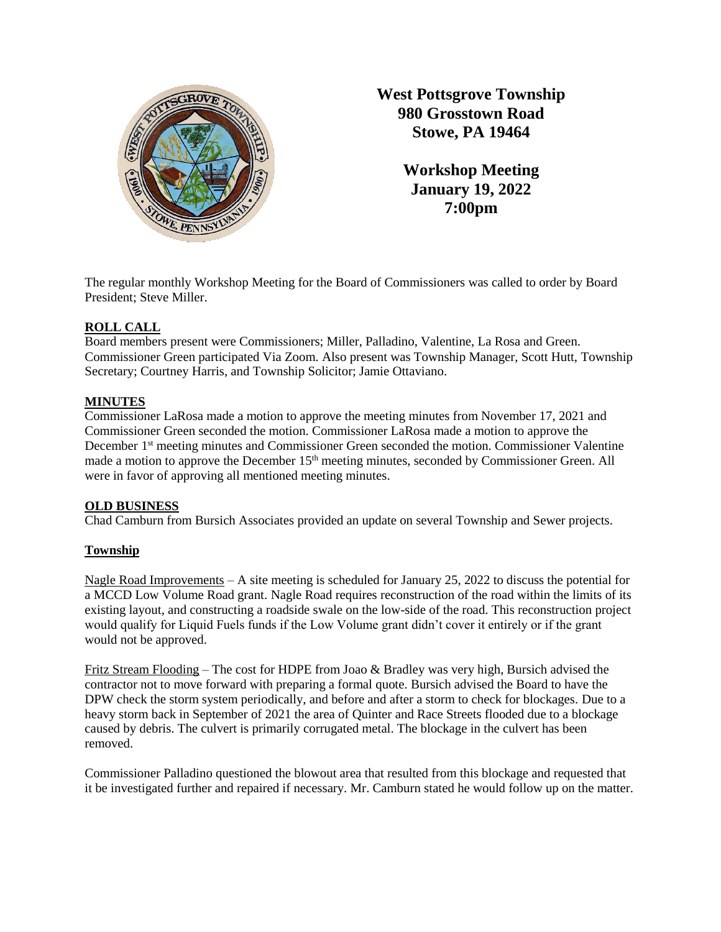

**West Pottsgrove Township 980 Grosstown Road Stowe, PA 19464**

> **Workshop Meeting January 19, 2022 7:00pm**

The regular monthly Workshop Meeting for the Board of Commissioners was called to order by Board President; Steve Miller.

# **ROLL CALL**

Board members present were Commissioners; Miller, Palladino, Valentine, La Rosa and Green. Commissioner Green participated Via Zoom. Also present was Township Manager, Scott Hutt, Township Secretary; Courtney Harris, and Township Solicitor; Jamie Ottaviano.

# **MINUTES**

Commissioner LaRosa made a motion to approve the meeting minutes from November 17, 2021 and Commissioner Green seconded the motion. Commissioner LaRosa made a motion to approve the December 1<sup>st</sup> meeting minutes and Commissioner Green seconded the motion. Commissioner Valentine made a motion to approve the December 15<sup>th</sup> meeting minutes, seconded by Commissioner Green. All were in favor of approving all mentioned meeting minutes.

## **OLD BUSINESS**

Chad Camburn from Bursich Associates provided an update on several Township and Sewer projects.

# **Township**

Nagle Road Improvements – A site meeting is scheduled for January 25, 2022 to discuss the potential for a MCCD Low Volume Road grant. Nagle Road requires reconstruction of the road within the limits of its existing layout, and constructing a roadside swale on the low-side of the road. This reconstruction project would qualify for Liquid Fuels funds if the Low Volume grant didn't cover it entirely or if the grant would not be approved.

Fritz Stream Flooding – The cost for HDPE from Joao & Bradley was very high, Bursich advised the contractor not to move forward with preparing a formal quote. Bursich advised the Board to have the DPW check the storm system periodically, and before and after a storm to check for blockages. Due to a heavy storm back in September of 2021 the area of Quinter and Race Streets flooded due to a blockage caused by debris. The culvert is primarily corrugated metal. The blockage in the culvert has been removed.

Commissioner Palladino questioned the blowout area that resulted from this blockage and requested that it be investigated further and repaired if necessary. Mr. Camburn stated he would follow up on the matter.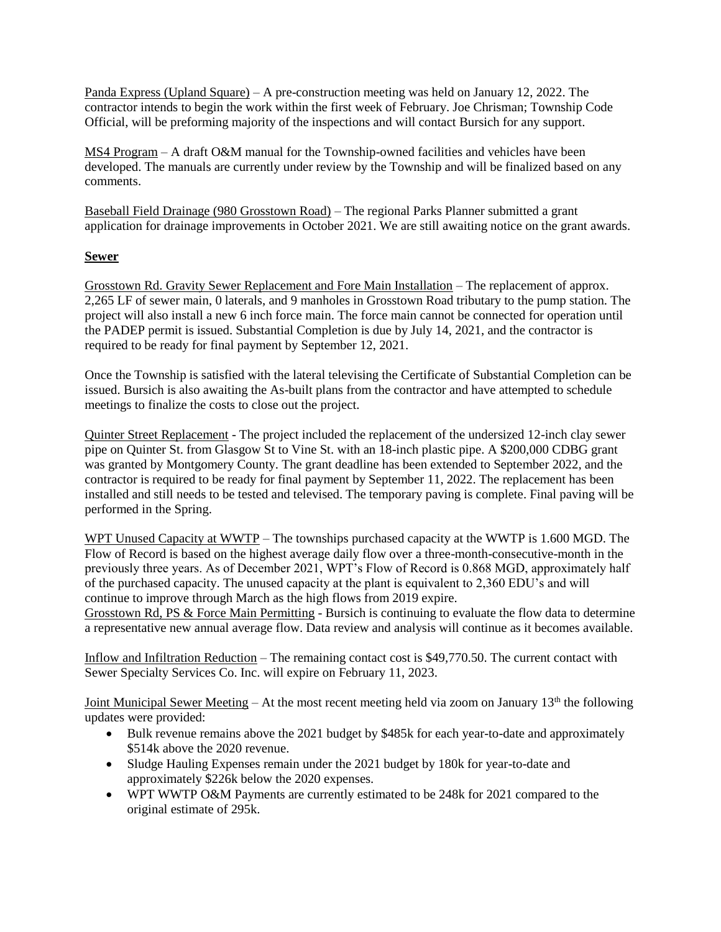Panda Express (Upland Square) – A pre-construction meeting was held on January 12, 2022. The contractor intends to begin the work within the first week of February. Joe Chrisman; Township Code Official, will be preforming majority of the inspections and will contact Bursich for any support.

MS4 Program – A draft O&M manual for the Township-owned facilities and vehicles have been developed. The manuals are currently under review by the Township and will be finalized based on any comments.

Baseball Field Drainage (980 Grosstown Road) – The regional Parks Planner submitted a grant application for drainage improvements in October 2021. We are still awaiting notice on the grant awards.

# **Sewer**

Grosstown Rd. Gravity Sewer Replacement and Fore Main Installation – The replacement of approx. 2,265 LF of sewer main, 0 laterals, and 9 manholes in Grosstown Road tributary to the pump station. The project will also install a new 6 inch force main. The force main cannot be connected for operation until the PADEP permit is issued. Substantial Completion is due by July 14, 2021, and the contractor is required to be ready for final payment by September 12, 2021.

Once the Township is satisfied with the lateral televising the Certificate of Substantial Completion can be issued. Bursich is also awaiting the As-built plans from the contractor and have attempted to schedule meetings to finalize the costs to close out the project.

Quinter Street Replacement - The project included the replacement of the undersized 12-inch clay sewer pipe on Quinter St. from Glasgow St to Vine St. with an 18-inch plastic pipe. A \$200,000 CDBG grant was granted by Montgomery County. The grant deadline has been extended to September 2022, and the contractor is required to be ready for final payment by September 11, 2022. The replacement has been installed and still needs to be tested and televised. The temporary paving is complete. Final paving will be performed in the Spring.

WPT Unused Capacity at WWTP – The townships purchased capacity at the WWTP is 1.600 MGD. The Flow of Record is based on the highest average daily flow over a three-month-consecutive-month in the previously three years. As of December 2021, WPT's Flow of Record is 0.868 MGD, approximately half of the purchased capacity. The unused capacity at the plant is equivalent to 2,360 EDU's and will continue to improve through March as the high flows from 2019 expire.

Grosstown Rd, PS & Force Main Permitting - Bursich is continuing to evaluate the flow data to determine a representative new annual average flow. Data review and analysis will continue as it becomes available.

Inflow and Infiltration Reduction – The remaining contact cost is \$49,770.50. The current contact with Sewer Specialty Services Co. Inc. will expire on February 11, 2023.

Joint Municipal Sewer Meeting – At the most recent meeting held via zoom on January 13<sup>th</sup> the following updates were provided:

- Bulk revenue remains above the 2021 budget by \$485k for each year-to-date and approximately \$514k above the 2020 revenue.
- Sludge Hauling Expenses remain under the 2021 budget by 180k for year-to-date and approximately \$226k below the 2020 expenses.
- WPT WWTP O&M Payments are currently estimated to be 248k for 2021 compared to the original estimate of 295k.